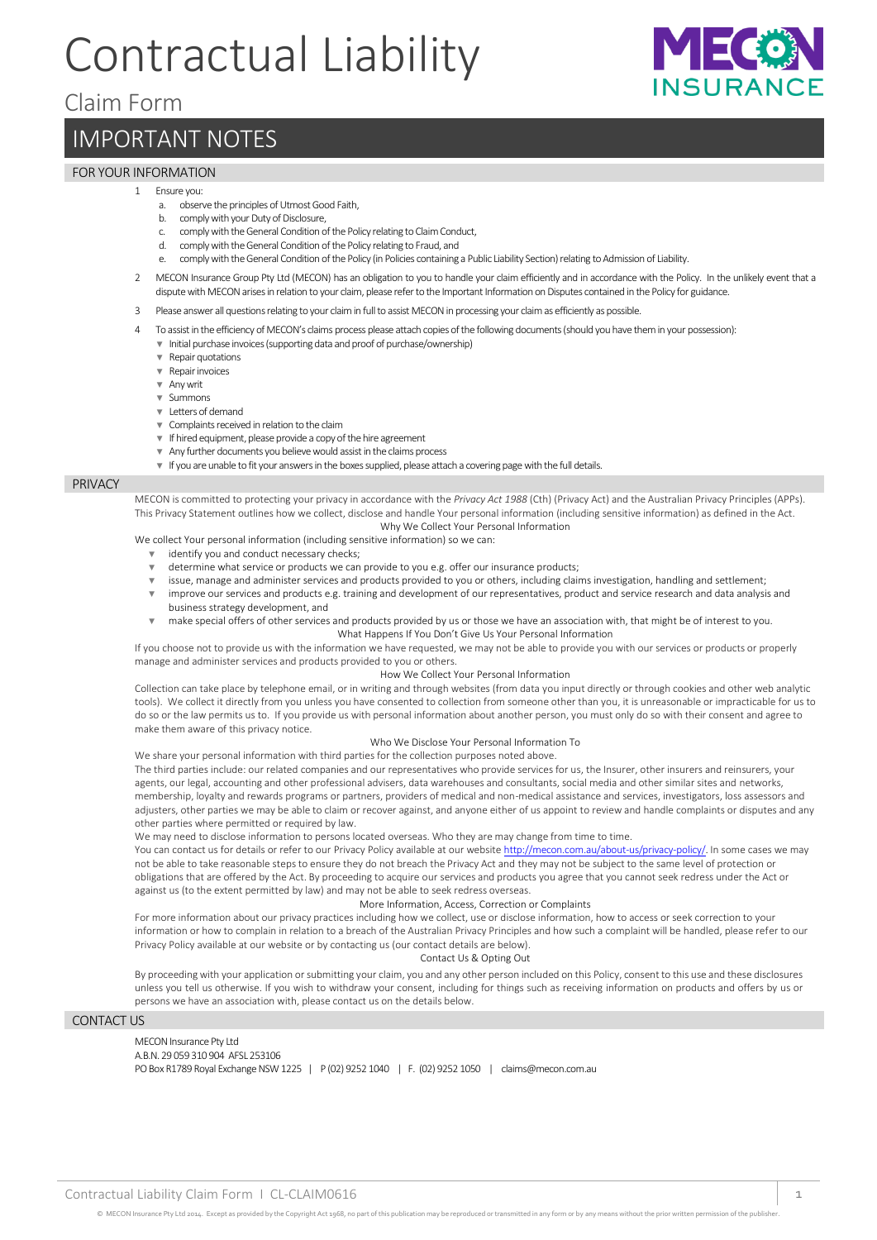# Contractual Liability





## IMPORTANT NOTES

## FOR YOUR INFORMATION

#### 1 Ensure you:

- a. observe the principles of Utmost Good Faith,
- b. comply with your Duty of Disclosure,
- c. comply with the General Condition of the Policy relating to Claim Conduct,
- d. comply with the General Condition of the Policy relating to Fraud, and
- e. comply with the General Condition of the Policy (in Policies containing a Public Liability Section) relating to Admission of Liability.
- 2 MECON Insurance Group Pty Ltd (MECON) has an obligation to you to handle your claim efficiently and in accordance with the Policy. In the unlikely event that a dispute with MECON arises in relation to your claim, please refer to the Important Information on Disputes contained in the Policy for guidance.
- 3 Please answer all questions relating to your claim in full to assist MECON in processing your claim as efficiently as possible.
- To assist in the efficiency of MECON's claims process please attach copies of the following documents (should you have them in your possession):
- ▼ Initial purchase invoices (supporting data and proof of purchase/ownership)
	- ▼ Repair quotations
	- ▼ Repair invoices
	- ▼ Any writ
	- ▼ Summons
- ▼ Letters of demand
- ▼ Complaints received in relation to the claim
- ▼ If hired equipment, please provide a copy of the hire agreement
- ▼ Any further documents you believe would assist in the claims process
- ▼ If you are unable to fit your answers in the boxes supplied, please attach a covering page with the full details.

#### PRIVACY

MECON is committed to protecting your privacy in accordance with the *Privacy Act 1988* (Cth) (Privacy Act) and the Australian Privacy Principles (APPs). This Privacy Statement outlines how we collect, disclose and handle Your personal information (including sensitive information) as defined in the Act. Why We Collect Your Personal Information

We collect Your personal information (including sensitive information) so we can:

- identify you and conduct necessary checks;
- ▼ determine what service or products we can provide to you e.g. offer our insurance products;
	- issue, manage and administer services and products provided to you or others, including claims investigation, handling and settlement;
- ▼ improve our services and products e.g. training and development of our representatives, product and service research and data analysis and business strategy development, and
- ▼ make special offers of other services and products provided by us or those we have an association with, that might be of interest to you. What Happens If You Don't Give Us Your Personal Information

If you choose not to provide us with the information we have requested, we may not be able to provide you with our services or products or properly manage and administer services and products provided to you or others.

#### How We Collect Your Personal Information

Collection can take place by telephone email, or in writing and through websites (from data you input directly or through cookies and other web analytic tools). We collect it directly from you unless you have consented to collection from someone other than you, it is unreasonable or impracticable for us to do so or the law permits us to. If you provide us with personal information about another person, you must only do so with their consent and agree to make them aware of this privacy notice.

#### Who We Disclose Your Personal Information To

We share your personal information with third parties for the collection purposes noted above.

The third parties include: our related companies and our representatives who provide services for us, the Insurer, other insurers and reinsurers, your agents, our legal, accounting and other professional advisers, data warehouses and consultants, social media and other similar sites and networks, membership, loyalty and rewards programs or partners, providers of medical and non-medical assistance and services, investigators, loss assessors and adjusters, other parties we may be able to claim or recover against, and anyone either of us appoint to review and handle complaints or disputes and any other parties where permitted or required by law.

We may need to disclose information to persons located overseas. Who they are may change from time to time.

You can contact us for details or refer to our Privacy Policy available at our websit[e http://mecon.com.au/about-us/privacy-policy/.](http://mecon.com.au/about-us/privacy-policy/) In some cases we may not be able to take reasonable steps to ensure they do not breach the Privacy Act and they may not be subject to the same level of protection or obligations that are offered by the Act. By proceeding to acquire our services and products you agree that you cannot seek redress under the Act or against us (to the extent permitted by law) and may not be able to seek redress overseas.

#### More Information, Access, Correction or Complaints

For more information about our privacy practices including how we collect, use or disclose information, how to access or seek correction to your information or how to complain in relation to a breach of the Australian Privacy Principles and how such a complaint will be handled, please refer to our Privacy Policy available at our website or by contacting us (our contact details are below).

Contact Us & Opting Out

By proceeding with your application or submitting your claim, you and any other person included on this Policy, consent to this use and these disclosures unless you tell us otherwise. If you wish to withdraw your consent, including for things such as receiving information on products and offers by us or persons we have an association with, please contact us on the details below.

### CONTACT US

MECON Insurance Pty Ltd A.B.N. 29 059 310 904 AFSL 253106 PO Box R1789 Royal Exchange NSW 1225 | P (02) 9252 1040 | F. (02) 9252 1050 | claims@mecon.com.au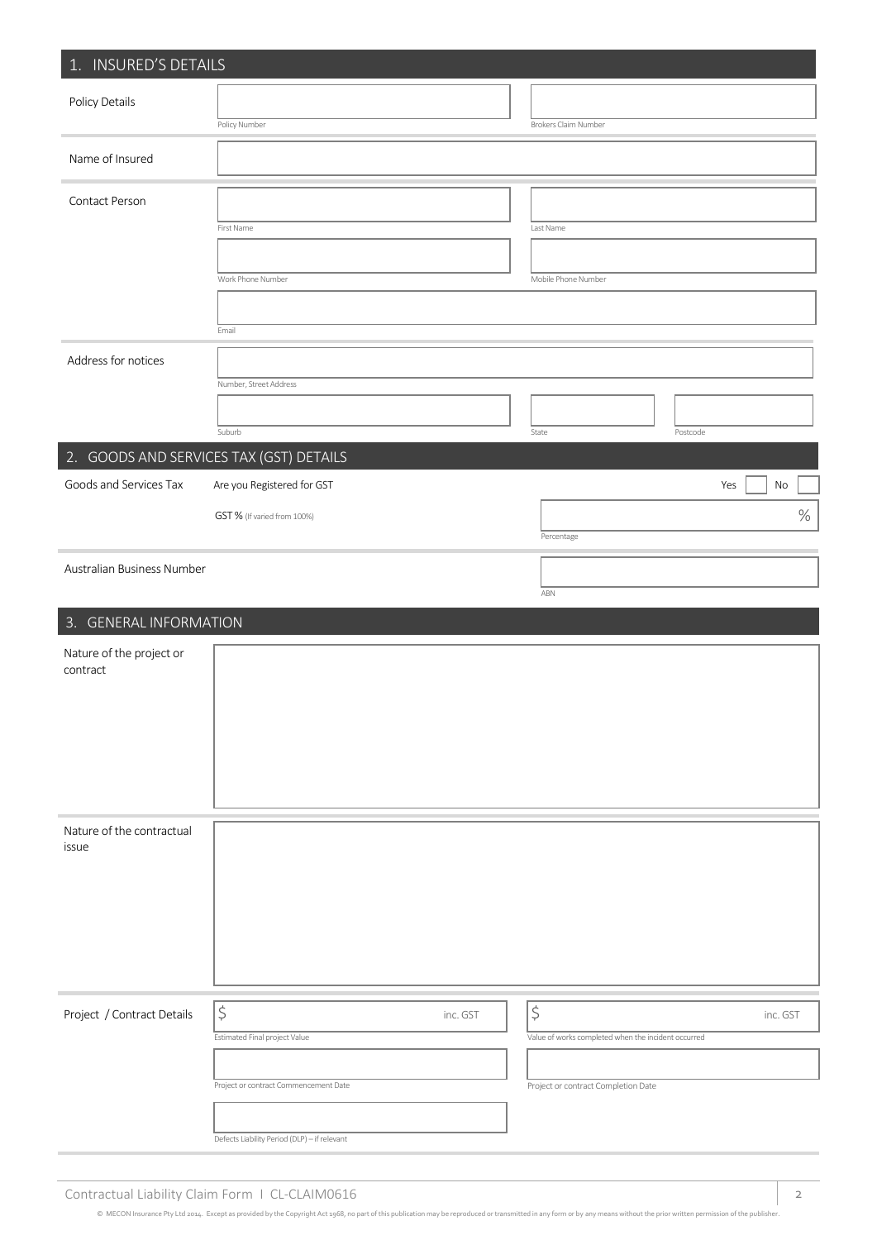| 1. INSURED'S DETAILS                 |                                                       |          |                                                     |          |          |
|--------------------------------------|-------------------------------------------------------|----------|-----------------------------------------------------|----------|----------|
| Policy Details                       |                                                       |          |                                                     |          |          |
|                                      | Policy Number                                         |          | Brokers Claim Number                                |          |          |
| Name of Insured                      |                                                       |          |                                                     |          |          |
| Contact Person                       |                                                       |          |                                                     |          |          |
|                                      | First Name                                            |          | Last Name                                           |          |          |
|                                      |                                                       |          |                                                     |          |          |
|                                      | Work Phone Number                                     |          | Mobile Phone Number                                 |          |          |
|                                      |                                                       |          |                                                     |          |          |
|                                      | Email                                                 |          |                                                     |          |          |
| Address for notices                  |                                                       |          |                                                     |          |          |
|                                      | Number, Street Address                                |          |                                                     |          |          |
|                                      |                                                       |          |                                                     |          |          |
|                                      | Suburb                                                |          | State                                               | Postcode |          |
| Goods and Services Tax               | 2. GOODS AND SERVICES TAX (GST) DETAILS               |          |                                                     |          |          |
|                                      | Are you Registered for GST                            |          |                                                     | Yes      | No       |
|                                      | GST % (If varied from 100%)                           |          | Percentage                                          |          | $\%$     |
|                                      |                                                       |          |                                                     |          |          |
| Australian Business Number           |                                                       |          |                                                     |          |          |
|                                      |                                                       |          | ABN                                                 |          |          |
| 3. GENERAL INFORMATION               |                                                       |          |                                                     |          |          |
| Nature of the project or<br>contract |                                                       |          |                                                     |          |          |
|                                      |                                                       |          |                                                     |          |          |
|                                      |                                                       |          |                                                     |          |          |
|                                      |                                                       |          |                                                     |          |          |
|                                      |                                                       |          |                                                     |          |          |
|                                      |                                                       |          |                                                     |          |          |
|                                      |                                                       |          |                                                     |          |          |
| Nature of the contractual<br>issue   |                                                       |          |                                                     |          |          |
|                                      |                                                       |          |                                                     |          |          |
|                                      |                                                       |          |                                                     |          |          |
|                                      |                                                       |          |                                                     |          |          |
|                                      |                                                       |          |                                                     |          |          |
|                                      |                                                       |          |                                                     |          |          |
|                                      |                                                       |          | $\boldsymbol{\zeta}$                                |          |          |
| Project / Contract Details           | $\boldsymbol{\zeta}$<br>Estimated Final project Value | inc. GST | Value of works completed when the incident occurred |          | inc. GST |
|                                      |                                                       |          |                                                     |          |          |
|                                      | Project or contract Commencement Date                 |          | Project or contract Completion Date                 |          |          |
|                                      |                                                       |          |                                                     |          |          |
|                                      | Defects Liability Period (DLP) - if relevant          |          |                                                     |          |          |
|                                      |                                                       |          |                                                     |          |          |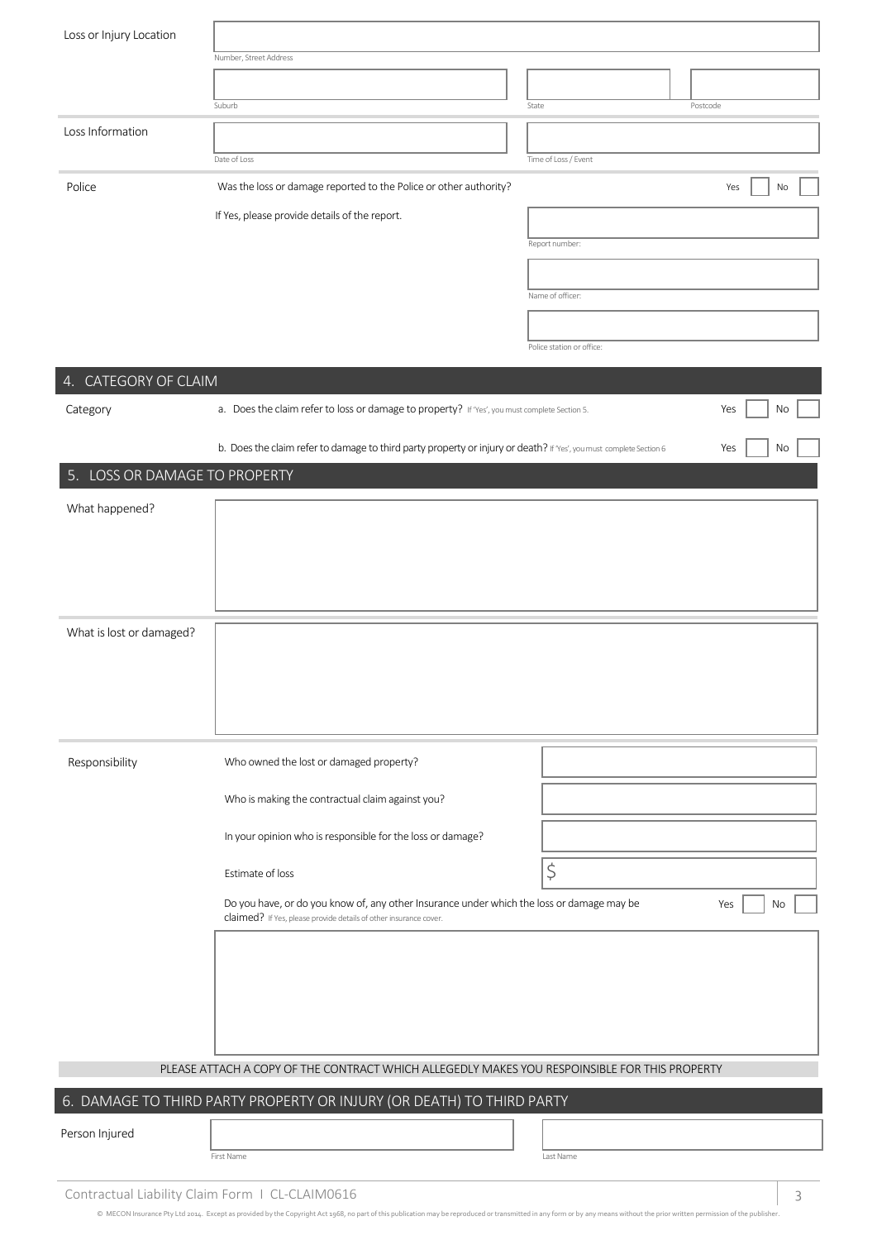| Loss or Injury Location       |                                                                                                                                                                |                           |
|-------------------------------|----------------------------------------------------------------------------------------------------------------------------------------------------------------|---------------------------|
|                               | Number, Street Address                                                                                                                                         |                           |
|                               |                                                                                                                                                                |                           |
|                               | Suburb                                                                                                                                                         | State<br>Postcode         |
| Loss Information              |                                                                                                                                                                |                           |
|                               | Date of Loss                                                                                                                                                   | Time of Loss / Event      |
| Police                        | Was the loss or damage reported to the Police or other authority?                                                                                              | No<br>Yes                 |
|                               | If Yes, please provide details of the report.                                                                                                                  |                           |
|                               |                                                                                                                                                                | Report number:            |
|                               |                                                                                                                                                                | Name of officer:          |
|                               |                                                                                                                                                                |                           |
|                               |                                                                                                                                                                | Police station or office: |
| 4. CATEGORY OF CLAIM          |                                                                                                                                                                |                           |
| Category                      | a. Does the claim refer to loss or damage to property? If 'Yes', you must complete Section 5.                                                                  | Yes<br>No                 |
|                               |                                                                                                                                                                |                           |
|                               | b. Does the claim refer to damage to third party property or injury or death? If Yes', you must complete Section 6                                             | Yes<br>No                 |
| 5. LOSS OR DAMAGE TO PROPERTY |                                                                                                                                                                |                           |
| What happened?                |                                                                                                                                                                |                           |
|                               |                                                                                                                                                                |                           |
|                               |                                                                                                                                                                |                           |
|                               |                                                                                                                                                                |                           |
| What is lost or damaged?      |                                                                                                                                                                |                           |
|                               |                                                                                                                                                                |                           |
|                               |                                                                                                                                                                |                           |
|                               |                                                                                                                                                                |                           |
|                               |                                                                                                                                                                |                           |
| Responsibility                | Who owned the lost or damaged property?                                                                                                                        |                           |
|                               | Who is making the contractual claim against you?                                                                                                               |                           |
|                               | In your opinion who is responsible for the loss or damage?                                                                                                     |                           |
|                               |                                                                                                                                                                |                           |
|                               | Estimate of loss                                                                                                                                               | \$                        |
|                               | Do you have, or do you know of, any other Insurance under which the loss or damage may be<br>claimed? If Yes, please provide details of other insurance cover. | Yes<br>No                 |
|                               |                                                                                                                                                                |                           |
|                               |                                                                                                                                                                |                           |
|                               |                                                                                                                                                                |                           |
|                               |                                                                                                                                                                |                           |
|                               |                                                                                                                                                                |                           |
|                               | PLEASE ATTACH A COPY OF THE CONTRACT WHICH ALLEGEDLY MAKES YOU RESPOINSIBLE FOR THIS PROPERTY                                                                  |                           |
|                               | 6. DAMAGE TO THIRD PARTY PROPERTY OR INJURY (OR DEATH) TO THIRD PARTY                                                                                          |                           |
| Person Injured                |                                                                                                                                                                |                           |
|                               | First Name                                                                                                                                                     | Last Name                 |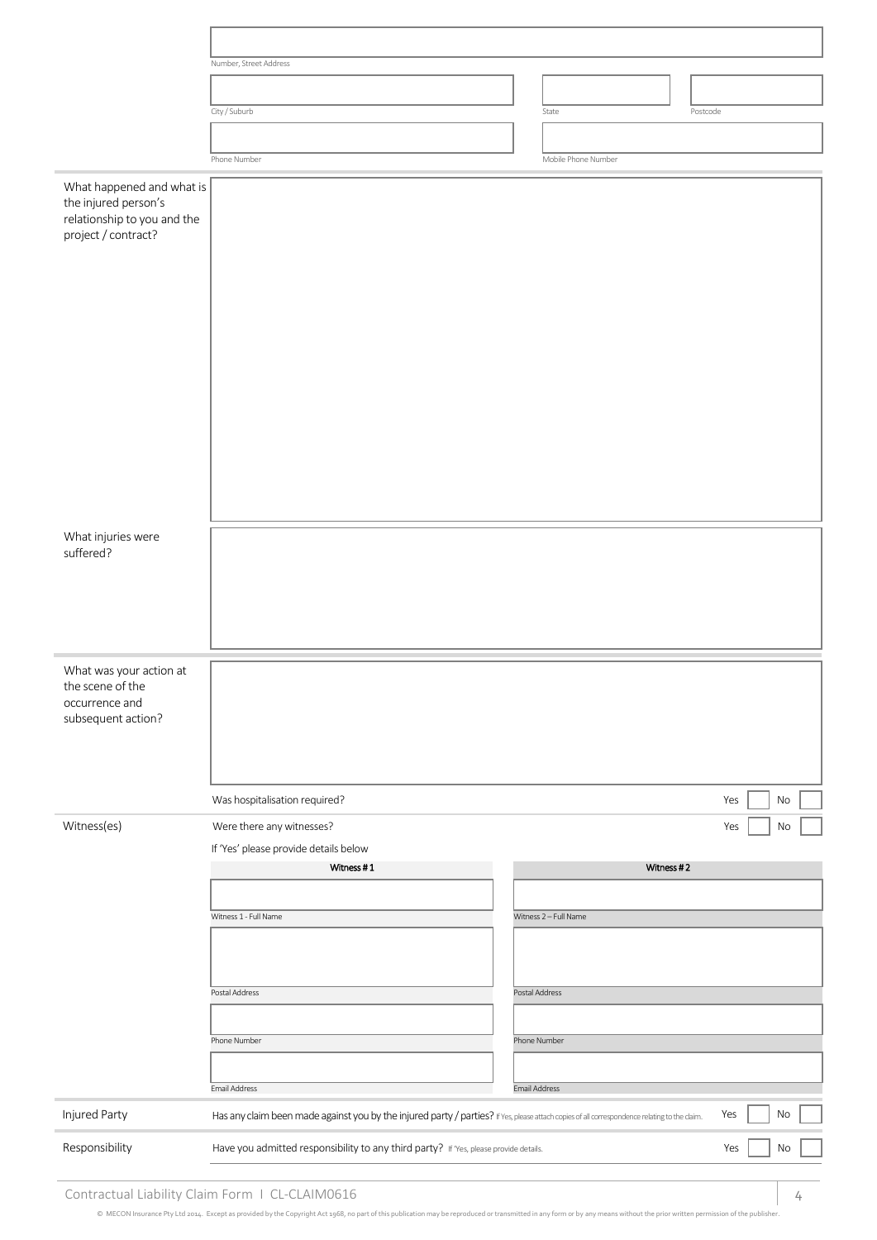|                                                                                                         | Number, Street Address                                                                                                                        |                       |           |
|---------------------------------------------------------------------------------------------------------|-----------------------------------------------------------------------------------------------------------------------------------------------|-----------------------|-----------|
|                                                                                                         |                                                                                                                                               |                       |           |
|                                                                                                         |                                                                                                                                               |                       |           |
|                                                                                                         | City / Suburb                                                                                                                                 | State<br>Postcode     |           |
|                                                                                                         |                                                                                                                                               |                       |           |
|                                                                                                         | Phone Number                                                                                                                                  | Mobile Phone Number   |           |
| What happened and what is<br>the injured person's<br>relationship to you and the<br>project / contract? |                                                                                                                                               |                       |           |
|                                                                                                         |                                                                                                                                               |                       |           |
| What injuries were                                                                                      |                                                                                                                                               |                       |           |
| suffered?                                                                                               |                                                                                                                                               |                       |           |
| What was your action at<br>the scene of the<br>occurrence and<br>subsequent action?                     |                                                                                                                                               |                       |           |
|                                                                                                         |                                                                                                                                               |                       |           |
|                                                                                                         |                                                                                                                                               |                       |           |
|                                                                                                         | Was hospitalisation required?                                                                                                                 |                       | Yes<br>No |
| Witness(es)                                                                                             | Were there any witnesses?                                                                                                                     |                       | Yes<br>No |
|                                                                                                         | If 'Yes' please provide details below<br>Witness #1                                                                                           | Witness #2            |           |
|                                                                                                         |                                                                                                                                               |                       |           |
|                                                                                                         |                                                                                                                                               |                       |           |
|                                                                                                         | Witness 1 - Full Name                                                                                                                         | Witness 2 - Full Name |           |
|                                                                                                         |                                                                                                                                               |                       |           |
|                                                                                                         | Postal Address                                                                                                                                | Postal Address        |           |
|                                                                                                         |                                                                                                                                               |                       |           |
|                                                                                                         | Phone Number                                                                                                                                  | Phone Number          |           |
|                                                                                                         |                                                                                                                                               |                       |           |
|                                                                                                         | Email Address                                                                                                                                 | Email Address         |           |
| Injured Party                                                                                           | Has any claim been made against you by the injured party / parties? If Yes, please attach copies of all correspondence relating to the claim. |                       | Yes<br>No |
|                                                                                                         |                                                                                                                                               |                       |           |
| Responsibility                                                                                          | Have you admitted responsibility to any third party? If Yes, please provide details.                                                          |                       | Yes<br>No |